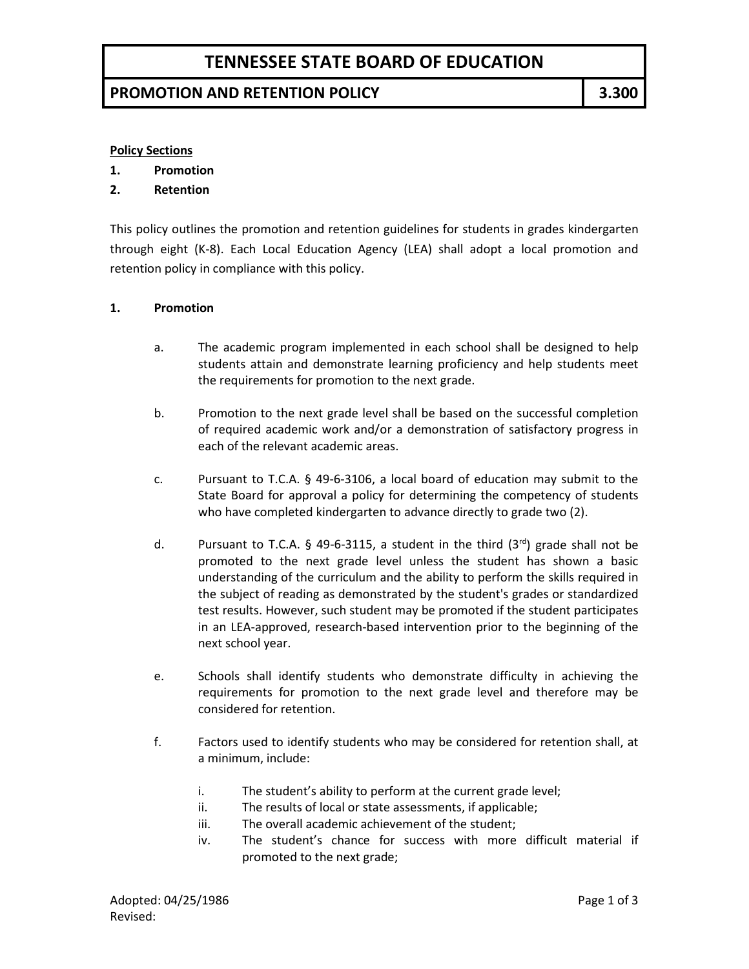# **TENNESSEE STATE BOARD OF EDUCATION**

### **PROMOTION AND RETENTION POLICY 3.300**

### **Policy Sections**

- **1. Promotion**
- **2. Retention**

This policy outlines the promotion and retention guidelines for students in grades kindergarten through eight (K-8). Each Local Education Agency (LEA) shall adopt a local promotion and retention policy in compliance with this policy.

#### **1. Promotion**

- a. The academic program implemented in each school shall be designed to help students attain and demonstrate learning proficiency and help students meet the requirements for promotion to the next grade.
- b. Promotion to the next grade level shall be based on the successful completion of required academic work and/or a demonstration of satisfactory progress in each of the relevant academic areas.
- c. Pursuant to T.C.A. § 49-6-3106, a local board of education may submit to the State Board for approval a policy for determining the competency of students who have completed kindergarten to advance directly to grade two (2).
- d. Pursuant to T.C.A.  $\S$  49-6-3115, a student in the third  $(3^{rd})$  grade shall not be promoted to the next grade level unless the student has shown a basic understanding of the curriculum and the ability to perform the skills required in the subject of reading as demonstrated by the student's grades or standardized test results. However, such student may be promoted if the student participates in an LEA-approved, research-based intervention prior to the beginning of the next school year.
- e. Schools shall identify students who demonstrate difficulty in achieving the requirements for promotion to the next grade level and therefore may be considered for retention.
- f. Factors used to identify students who may be considered for retention shall, at a minimum, include:
	- i. The student's ability to perform at the current grade level;
	- ii. The results of local or state assessments, if applicable;
	- iii. The overall academic achievement of the student;
	- iv. The student's chance for success with more difficult material if promoted to the next grade;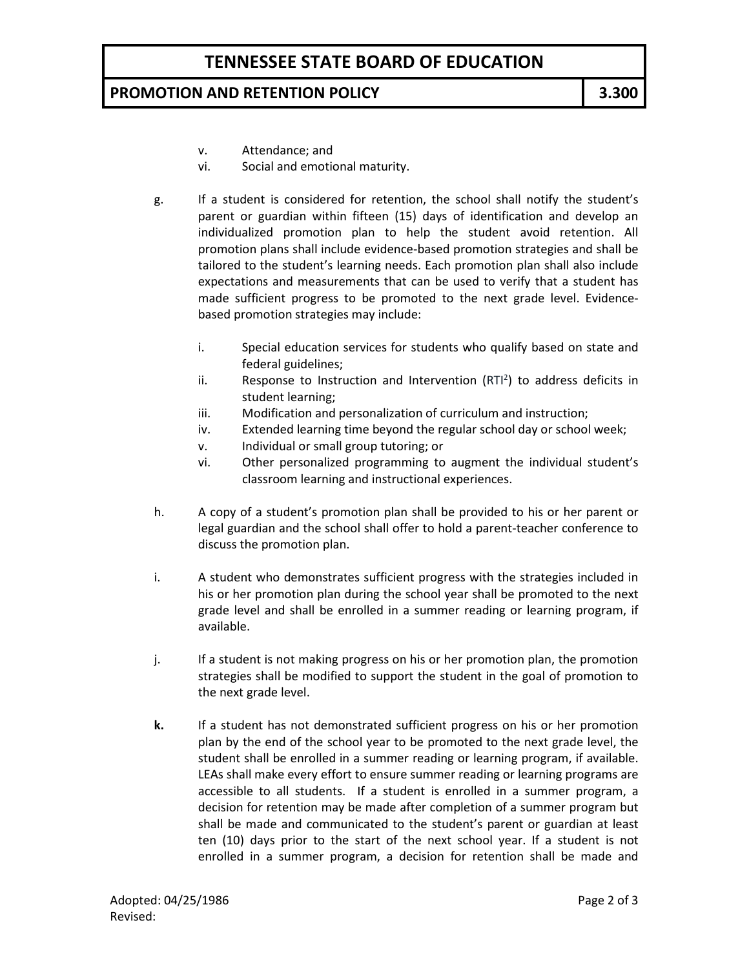## **PROMOTION AND RETENTION POLICY 3.300**

- v. Attendance; and
- vi. Social and emotional maturity.
- g. If a student is considered for retention, the school shall notify the student's parent or guardian within fifteen (15) days of identification and develop an individualized promotion plan to help the student avoid retention. All promotion plans shall include evidence-based promotion strategies and shall be tailored to the student's learning needs. Each promotion plan shall also include expectations and measurements that can be used to verify that a student has made sufficient progress to be promoted to the next grade level. Evidencebased promotion strategies may include:
	- i. Special education services for students who qualify based on state and federal guidelines;
	- ii. Response to Instruction and Intervention  $(RTI<sup>2</sup>)$  to address deficits in student learning;
	- iii. Modification and personalization of curriculum and instruction;
	- iv. Extended learning time beyond the regular school day or school week;
	- v. Individual or small group tutoring; or
	- vi. Other personalized programming to augment the individual student's classroom learning and instructional experiences.
- h. A copy of a student's promotion plan shall be provided to his or her parent or legal guardian and the school shall offer to hold a parent-teacher conference to discuss the promotion plan.
- i. A student who demonstrates sufficient progress with the strategies included in his or her promotion plan during the school year shall be promoted to the next grade level and shall be enrolled in a summer reading or learning program, if available.
- j. If a student is not making progress on his or her promotion plan, the promotion strategies shall be modified to support the student in the goal of promotion to the next grade level.
- **k.** If a student has not demonstrated sufficient progress on his or her promotion plan by the end of the school year to be promoted to the next grade level, the student shall be enrolled in a summer reading or learning program, if available. LEAs shall make every effort to ensure summer reading or learning programs are accessible to all students. If a student is enrolled in a summer program, a decision for retention may be made after completion of a summer program but shall be made and communicated to the student's parent or guardian at least ten (10) days prior to the start of the next school year. If a student is not enrolled in a summer program, a decision for retention shall be made and